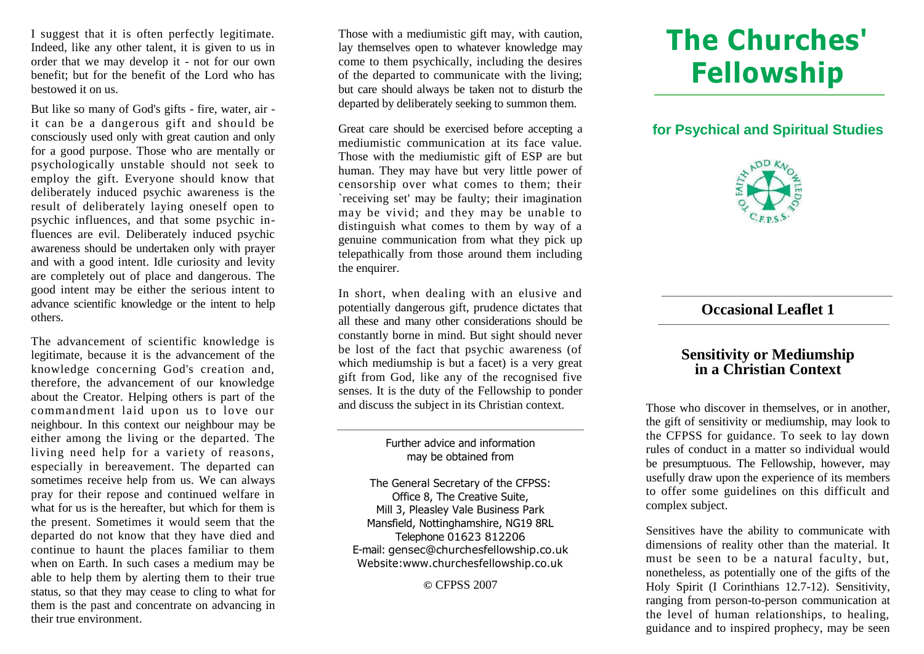I suggest that it is often perfectly legitimate. Indeed, like any other talent, it is given to us in order that we may develop it - not for our own benefit; but for the benefit of the Lord who has bestowed it on us.

But like so many of God's gifts - fire, water, air it can be a dangerous gift and should be consciously used only with great caution and only for a good purpose. Those who are mentally or psychologically unstable should not seek to employ the gift. Everyone should know that deliberately induced psychic awareness is the result of deliberately laying oneself open to psychic influences, and that some psychic influences are evil. Deliberately induced psychic awareness should be undertaken only with prayer and with a good intent. Idle curiosity and levity are completely out of place and dangerous. The good intent may be either the serious intent to advance scientific knowledge or the intent to help others.

The advancement of scientific knowledge is legitimate, because it is the advancement of the knowledge concerning God's creation and, therefore, the advancement of our knowledge about the Creator. Helping others is part of the commandment laid upon us to love our neighbour. In this context our neighbour may be either among the living or the departed. The living need help for a variety of reasons, especially in bereavement. The departed can sometimes receive help from us. We can always pray for their repose and continued welfare in what for us is the hereafter, but which for them is the present. Sometimes it would seem that the departed do not know that they have died and continue to haunt the places familiar to them when on Earth. In such cases a medium may be able to help them by alerting them to their true status, so that they may cease to cling to what for them is the past and concentrate on advancing in their true environment.

Those with a mediumistic gift may, with caution, lay themselves open to whatever knowledge may come to them psychically, including the desires of the departed to communicate with the living; but care should always be taken not to disturb the departed by deliberately seeking to summon them.

Great care should be exercised before accepting a mediumistic communication at its face value. Those with the mediumistic gift of ESP are but human. They may have but very little power of censorship over what comes to them; their `receiving set' may be faulty; their imagination may be vivid; and they may be unable to distinguish what comes to them by way of a genuine communication from what they pick up telepathically from those around them including the enquirer.

In short, when dealing with an elusive and potentially dangerous gift, prudence dictates that all these and many other considerations should be constantly borne in mind. But sight should never be lost of the fact that psychic awareness (of which mediumship is but a facet) is a very great gift from God, like any of the recognised five senses. It is the duty of the Fellowship to ponder and discuss the subject in its Christian context.

#### Further advice and information may be obtained from

The General Secretary of the CFPSS: Office 8, The Creative Suite, Mill 3, Pleasley Vale Business Park Mansfield, Nottinghamshire, NG19 8RL Telephone 01623 812206 [E-mail:](mailto:gensec@churchesfellowship.co.uk) gensec@churchesfellowship.co.uk Website:www.churchesfellowship.co.uk

#### **©** CFPSS 2007

# **The Churches' Fellowship**

## **for Psychical and Spiritual Studies**



#### **Occasional Leaflet 1**

## **Sensitivity or Mediumship in a Christian Context**

Those who discover in themselves, or in another, the gift of sensitivity or mediumship, may look to the CFPSS for guidance. To seek to lay down rules of conduct in a matter so individual would be presumptuous. The Fellowship, however, may usefully draw upon the experience of its members to offer some guidelines on this difficult and complex subject.

Sensitives have the ability to communicate with dimensions of reality other than the material. It must be seen to be a natural faculty, but, nonetheless, as potentially one of the gifts of the Holy Spirit (I Corinthians 12.7-12). Sensitivity, ranging from person-to-person communication at the level of human relationships, to healing, guidance and to inspired prophecy, may be seen